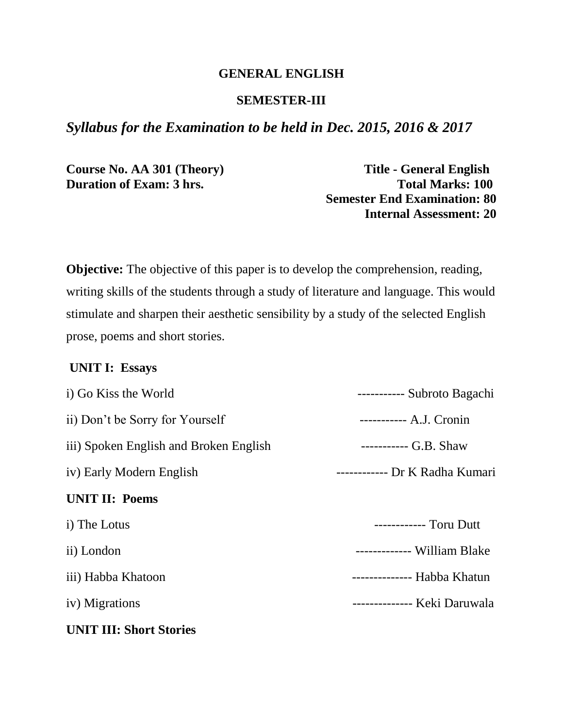#### **GENERAL ENGLISH**

#### **SEMESTER-III**

### *Syllabus for the Examination to be held in Dec. 2015, 2016 & 2017*

**Course No. AA 301 (Theory) Title - General English** 

**Duration of Exam: 3 hrs. Total Marks: 100 Semester End Examination: 80 Internal Assessment: 20**

**Objective:** The objective of this paper is to develop the comprehension, reading, writing skills of the students through a study of literature and language. This would stimulate and sharpen their aesthetic sensibility by a study of the selected English prose, poems and short stories.

#### **UNIT I: Essays**

| i) Go Kiss the World                   | ----------- Subroto Bagachi    |
|----------------------------------------|--------------------------------|
| ii) Don't be Sorry for Yourself        | ----------- A.J. Cronin        |
| iii) Spoken English and Broken English | $------G.B. Shaw$              |
| iv) Early Modern English               | ------------ Dr K Radha Kumari |
| <b>UNIT II: Poems</b>                  |                                |
| i) The Lotus                           | ------------ Toru Dutt         |
| ii) London                             | ------------- William Blake    |
| iii) Habba Khatoon                     | -------------- Habba Khatun    |
| iv) Migrations                         | -------------- Keki Daruwala   |
| <b>UNIT III: Short Stories</b>         |                                |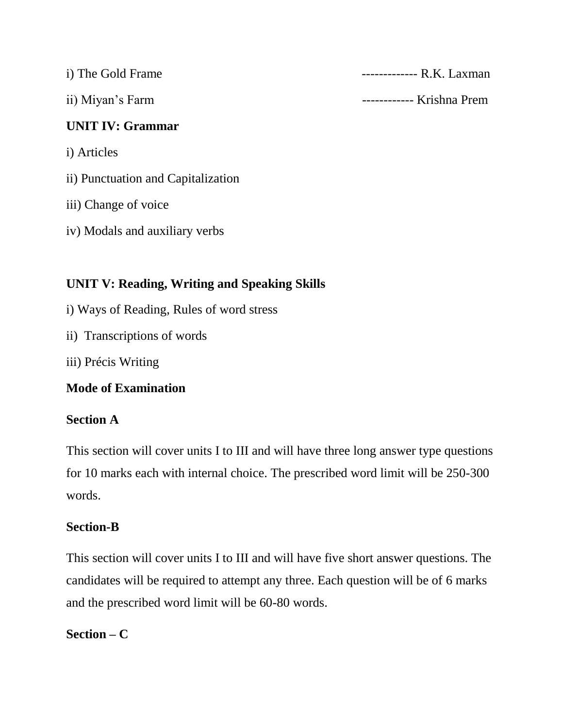| i) The Gold Frame       | $------R.K. Laxman$   |
|-------------------------|-----------------------|
| ii) Miyan's Farm        | $------$ Krishna Prem |
| <b>UNIT IV: Grammar</b> |                       |
| i) Articles             |                       |

- ii) Punctuation and Capitalization
- iii) Change of voice
- iv) Modals and auxiliary verbs

# **UNIT V: Reading, Writing and Speaking Skills**

- i) Ways of Reading, Rules of word stress
- ii) Transcriptions of words
- iii) Précis Writing

# **Mode of Examination**

# **Section A**

This section will cover units I to III and will have three long answer type questions for 10 marks each with internal choice. The prescribed word limit will be 250-300 words.

# **Section-B**

This section will cover units I to III and will have five short answer questions. The candidates will be required to attempt any three. Each question will be of 6 marks and the prescribed word limit will be 60-80 words.

# **Section – C**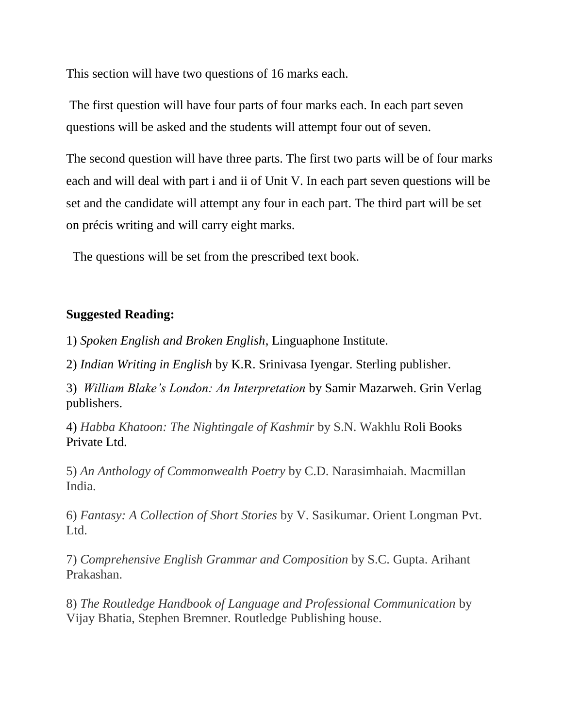This section will have two questions of 16 marks each.

The first question will have four parts of four marks each. In each part seven questions will be asked and the students will attempt four out of seven.

The second question will have three parts. The first two parts will be of four marks each and will deal with part i and ii of Unit V. In each part seven questions will be set and the candidate will attempt any four in each part. The third part will be set on précis writing and will carry eight marks.

The questions will be set from the prescribed text book.

### **Suggested Reading:**

1) *Spoken English and Broken English*, Linguaphone Institute.

2) *Indian Writing in English* by K.R. Srinivasa Iyengar. Sterling publisher.

3) *William Blake's London: An Interpretation* by Samir Mazarweh. Grin Verlag publishers.

4) *Habba Khatoon: The Nightingale of Kashmir* by S.N. Wakhlu Roli Books Private Ltd.

5) *An Anthology of Commonwealth Poetry* by C.D. Narasimhaiah. Macmillan India.

6) *Fantasy: A Collection of Short Stories* by V. Sasikumar. Orient Longman Pvt. Ltd.

7) *Comprehensive English Grammar and Composition* by S.C. Gupta. Arihant Prakashan.

8) *The Routledge Handbook of Language and Professional Communication* by Vijay Bhatia, Stephen Bremner. Routledge Publishing house.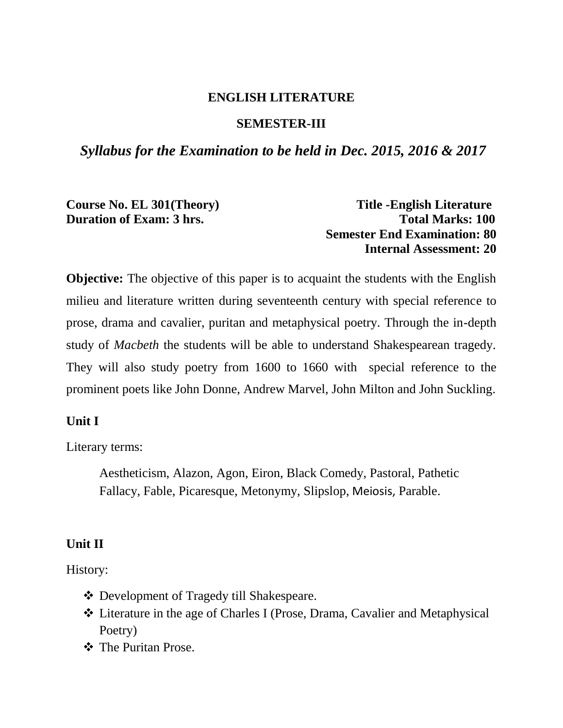### **ENGLISH LITERATURE**

#### **SEMESTER-III**

### *Syllabus for the Examination to be held in Dec. 2015, 2016 & 2017*

Course No. EL 301(Theory) Title -English Literature **Duration of Exam: 3 hrs.** Total Marks: 100 **Semester End Examination: 80 Internal Assessment: 20**

**Objective:** The objective of this paper is to acquaint the students with the English milieu and literature written during seventeenth century with special reference to prose, drama and cavalier, puritan and metaphysical poetry. Through the in-depth study of *Macbeth* the students will be able to understand Shakespearean tragedy. They will also study poetry from 1600 to 1660 with special reference to the prominent poets like John Donne, Andrew Marvel, John Milton and John Suckling.

#### **Unit I**

Literary terms:

Aestheticism, Alazon, Agon, Eiron, Black Comedy, Pastoral, Pathetic Fallacy, Fable, Picaresque, Metonymy, Slipslop, Meiosis, Parable.

#### **Unit II**

History:

- Development of Tragedy till Shakespeare.
- Literature in the age of Charles I (Prose, Drama, Cavalier and Metaphysical Poetry)
- **❖** The Puritan Prose.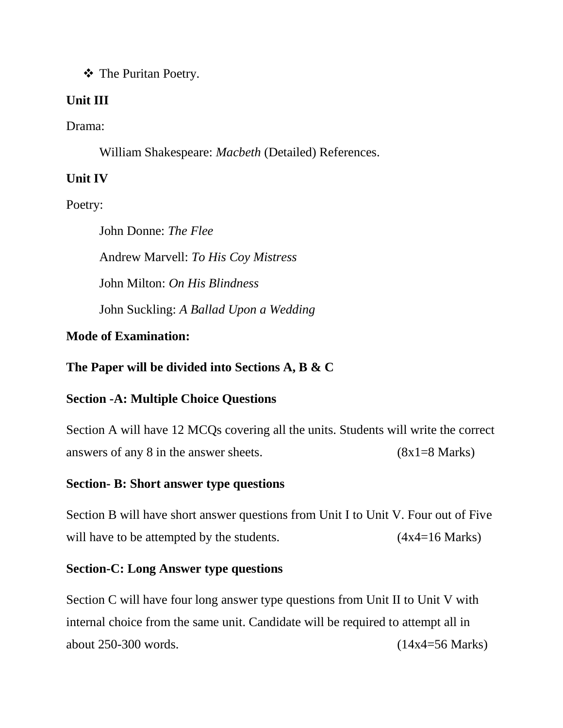The Puritan Poetry.

# **Unit III**

Drama:

William Shakespeare: *Macbeth* (Detailed) References.

# **Unit IV**

Poetry:

John Donne: *The Flee* Andrew Marvell: *To His Coy Mistress* John Milton: *On His Blindness* John Suckling: *A Ballad Upon a Wedding*

# **Mode of Examination:**

**The Paper will be divided into Sections A, B & C**

# **Section -A: Multiple Choice Questions**

Section A will have 12 MCQs covering all the units. Students will write the correct answers of any 8 in the answer sheets. (8x1=8 Marks)

# **Section- B: Short answer type questions**

Section B will have short answer questions from Unit I to Unit V. Four out of Five will have to be attempted by the students.  $(4x4=16 \text{ Marks})$ 

# **Section-C: Long Answer type questions**

Section C will have four long answer type questions from Unit II to Unit V with internal choice from the same unit. Candidate will be required to attempt all in about 250-300 words. (14x4=56 Marks)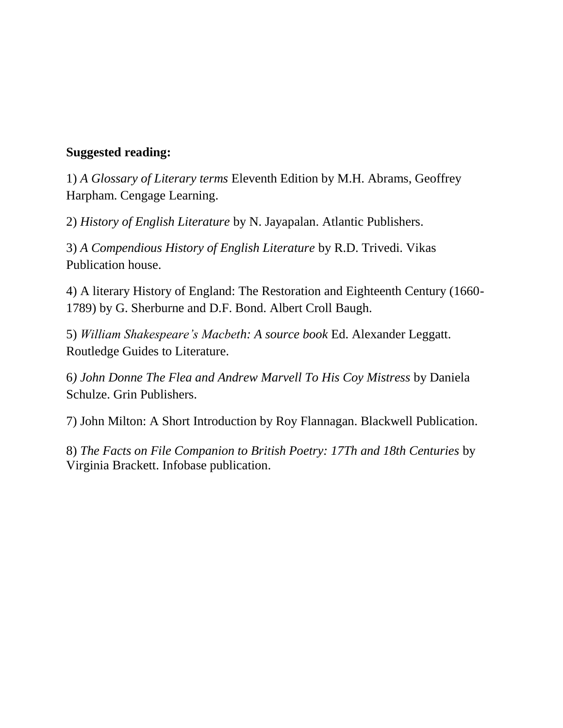### **Suggested reading:**

1) *A Glossary of Literary terms* Eleventh Edition by M.H. Abrams, Geoffrey Harpham. Cengage Learning.

2) *History of English Literature* by N. Jayapalan. Atlantic Publishers.

3) *A Compendious History of English Literature* by R.D. Trivedi. Vikas Publication house.

4) A literary History of England: The Restoration and Eighteenth Century (1660- 1789) by G. Sherburne and D.F. Bond. Albert Croll Baugh.

5) *William Shakespeare's Macbeth: A source book* Ed. Alexander Leggatt. Routledge Guides to Literature.

6*) John Donne The Flea and Andrew Marvell To His Coy Mistress* by Daniela Schulze. Grin Publishers.

7) John Milton: A Short Introduction by Roy Flannagan. Blackwell Publication.

8) *The Facts on File Companion to British Poetry: 17Th and 18th Centuries* by Virginia Brackett. Infobase publication.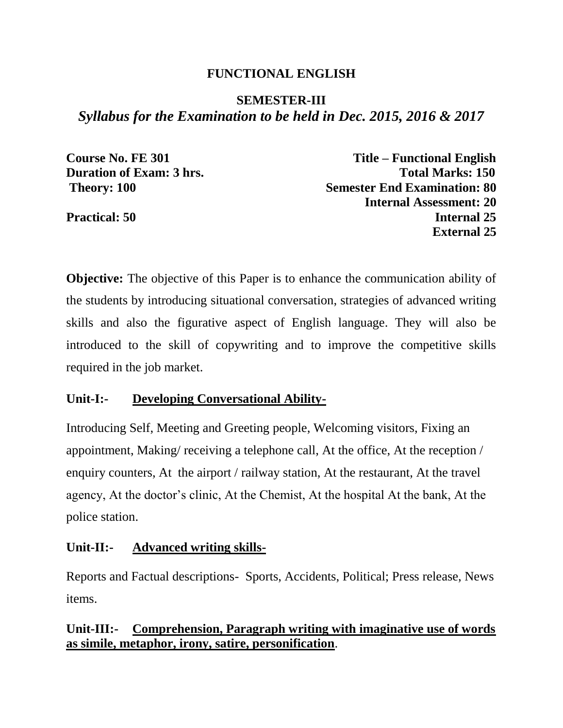### **FUNCTIONAL ENGLISH**

# **SEMESTER-III** *Syllabus for the Examination to be held in Dec. 2015, 2016 & 2017*

**Course No. FE 301 Title – Functional English Duration of Exam: 3 hrs.** Total Marks: 150 **Theory: 100** Semester End Examination: 80 **Internal Assessment: 20 Practical: 50** Internal 25 **External 25**

**Objective:** The objective of this Paper is to enhance the communication ability of the students by introducing situational conversation, strategies of advanced writing skills and also the figurative aspect of English language. They will also be introduced to the skill of copywriting and to improve the competitive skills required in the job market.

### **Unit-I:- Developing Conversational Ability-**

Introducing Self, Meeting and Greeting people, Welcoming visitors, Fixing an appointment, Making/ receiving a telephone call, At the office, At the reception / enquiry counters, At the airport / railway station, At the restaurant, At the travel agency, At the doctor's clinic, At the Chemist, At the hospital At the bank, At the police station.

# **Unit-II:- Advanced writing skills-**

Reports and Factual descriptions- Sports, Accidents, Political; Press release, News items.

# **Unit-III:- Comprehension, Paragraph writing with imaginative use of words as simile, metaphor, irony, satire, personification**.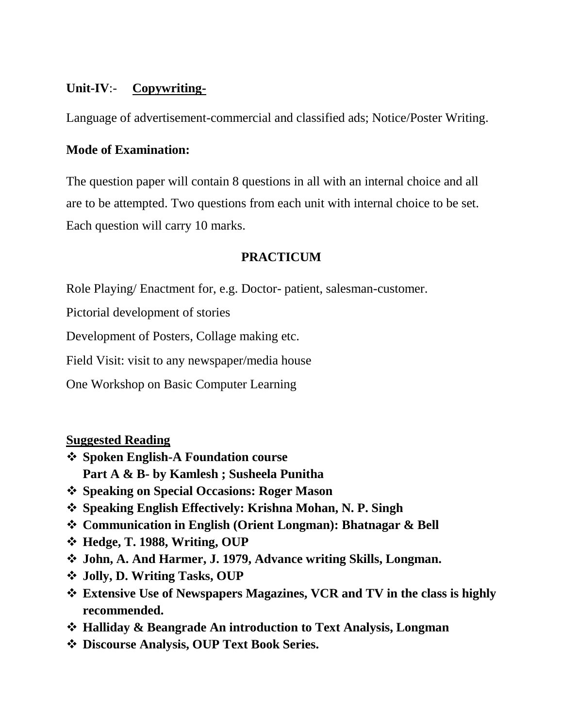# **Unit-IV**:- **Copywriting-**

Language of advertisement-commercial and classified ads; Notice/Poster Writing.

### **Mode of Examination:**

The question paper will contain 8 questions in all with an internal choice and all are to be attempted. Two questions from each unit with internal choice to be set. Each question will carry 10 marks.

# **PRACTICUM**

Role Playing/ Enactment for, e.g. Doctor- patient, salesman-customer.

Pictorial development of stories

Development of Posters, Collage making etc.

Field Visit: visit to any newspaper/media house

One Workshop on Basic Computer Learning

# **Suggested Reading**

- **Spoken English-A Foundation course Part A & B- by Kamlesh ; Susheela Punitha**
- **Speaking on Special Occasions: Roger Mason**
- **Speaking English Effectively: Krishna Mohan, N. P. Singh**
- **Communication in English (Orient Longman): Bhatnagar & Bell**
- **Hedge, T. 1988, Writing, OUP**
- **John, A. And Harmer, J. 1979, Advance writing Skills, Longman.**
- **Jolly, D. Writing Tasks, OUP**
- **Extensive Use of Newspapers Magazines, VCR and TV in the class is highly recommended.**
- **Halliday & Beangrade An introduction to Text Analysis, Longman**
- **Discourse Analysis, OUP Text Book Series.**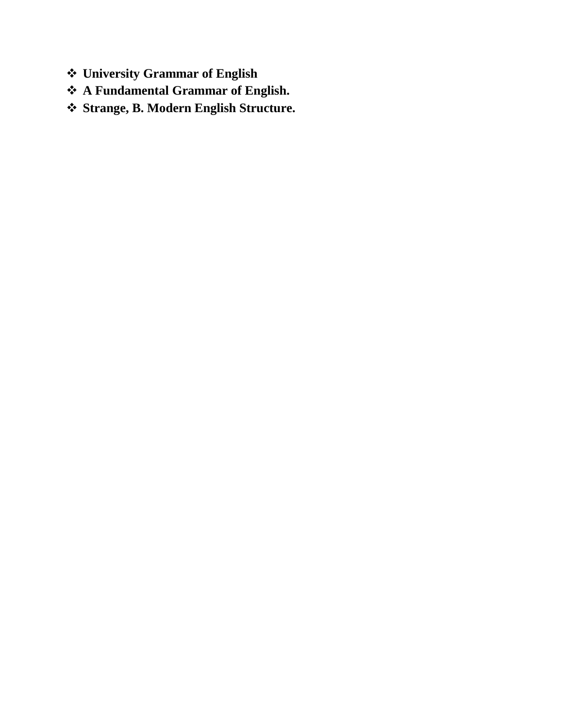- **University Grammar of English**
- **A Fundamental Grammar of English.**
- **Strange, B. Modern English Structure.**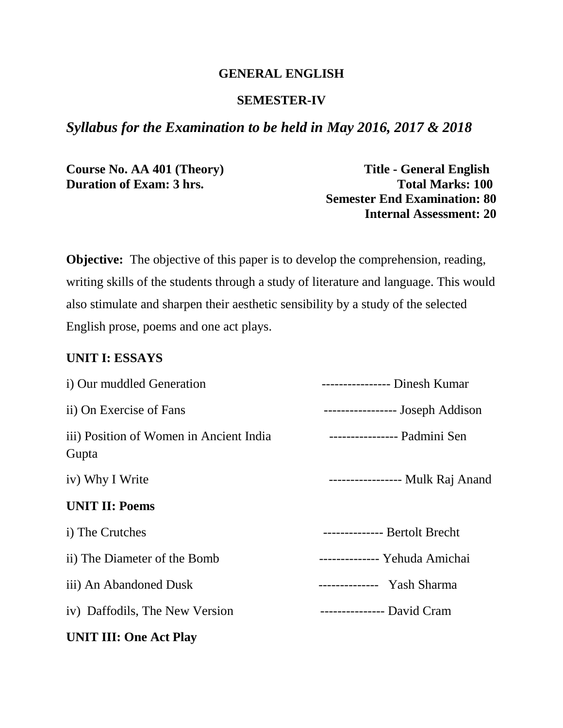### **GENERAL ENGLISH**

#### **SEMESTER-IV**

### *Syllabus for the Examination to be held in May 2016, 2017 & 2018*

**Course No. AA 401 (Theory) Title - General English** 

**Duration of Exam: 3 hrs. Total Marks: 100 Semester End Examination: 80 Internal Assessment: 20**

**Objective:** The objective of this paper is to develop the comprehension, reading, writing skills of the students through a study of literature and language. This would also stimulate and sharpen their aesthetic sensibility by a study of the selected English prose, poems and one act plays.

#### **UNIT I: ESSAYS**

| i) Our muddled Generation                        | ---------------- Dinesh Kumar    |
|--------------------------------------------------|----------------------------------|
| ii) On Exercise of Fans                          | ----------------- Joseph Addison |
| iii) Position of Women in Ancient India<br>Gupta | ---------------- Padmini Sen     |
| iv) Why I Write                                  | ----------------- Mulk Raj Anand |
| <b>UNIT II: Poems</b>                            |                                  |
| i) The Crutches                                  | -------------- Bertolt Brecht    |
| ii) The Diameter of the Bomb                     | -------------- Yehuda Amichai    |
| iii) An Abandoned Dusk                           | -------------- Yash Sharma       |
| iv) Daffodils, The New Version                   | ---------------- David Cram      |
| <b>UNIT III: One Act Play</b>                    |                                  |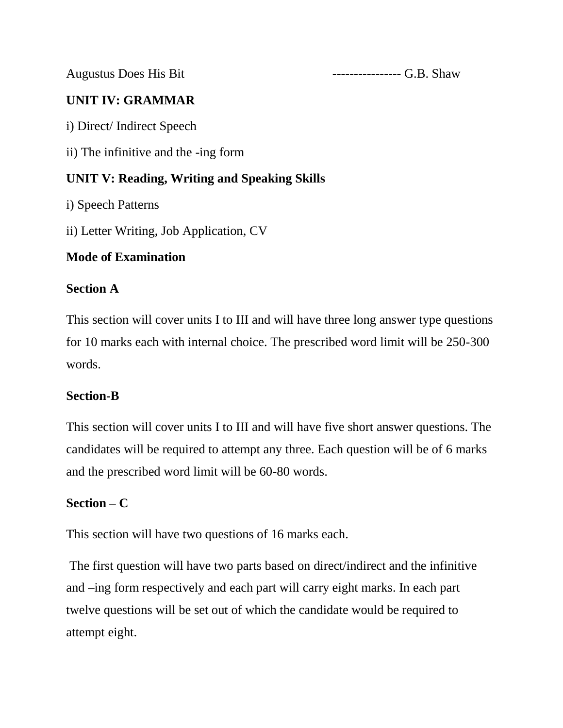Augustus Does His Bit **---------------------** G.B. Shaw

# **UNIT IV: GRAMMAR**

i) Direct/ Indirect Speech

ii) The infinitive and the -ing form

# **UNIT V: Reading, Writing and Speaking Skills**

i) Speech Patterns

ii) Letter Writing, Job Application, CV

# **Mode of Examination**

# **Section A**

This section will cover units I to III and will have three long answer type questions for 10 marks each with internal choice. The prescribed word limit will be 250-300 words.

# **Section-B**

This section will cover units I to III and will have five short answer questions. The candidates will be required to attempt any three. Each question will be of 6 marks and the prescribed word limit will be 60-80 words.

# **Section – C**

This section will have two questions of 16 marks each.

The first question will have two parts based on direct/indirect and the infinitive and –ing form respectively and each part will carry eight marks. In each part twelve questions will be set out of which the candidate would be required to attempt eight.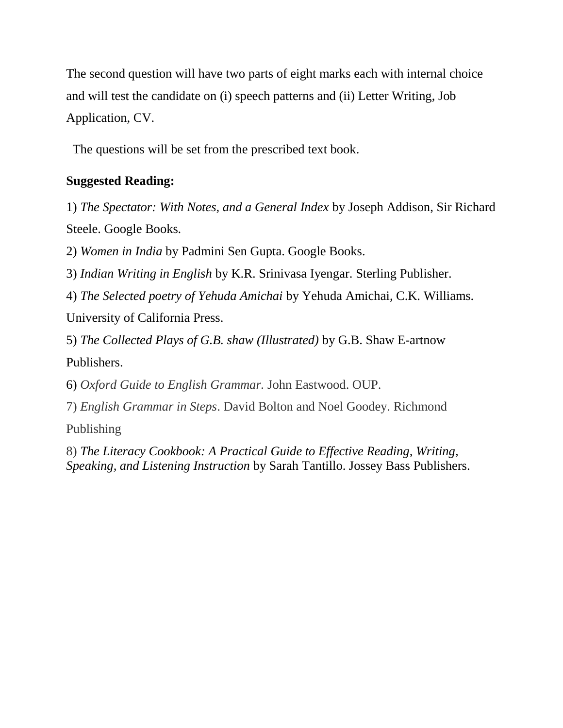The second question will have two parts of eight marks each with internal choice and will test the candidate on (i) speech patterns and (ii) Letter Writing, Job Application, CV.

The questions will be set from the prescribed text book.

# **Suggested Reading:**

1) *The Spectator: With Notes, and a General Index* by Joseph Addison, Sir Richard Steele. Google Books.

2) *Women in India* by Padmini Sen Gupta. Google Books.

3) *Indian Writing in English* by K.R. Srinivasa Iyengar. Sterling Publisher.

4) *The Selected poetry of Yehuda Amichai* by Yehuda Amichai, C.K. Williams.

University of California Press.

5) *The Collected Plays of G.B. shaw (Illustrated)* by G.B. Shaw E-artnow Publishers.

6) *Oxford Guide to English Grammar.* John Eastwood. OUP.

7) *English Grammar in Steps*. David Bolton and Noel Goodey. Richmond

Publishing

8) *The Literacy Cookbook: A Practical Guide to Effective Reading, Writing, Speaking, and Listening Instruction* by Sarah Tantillo. Jossey Bass Publishers.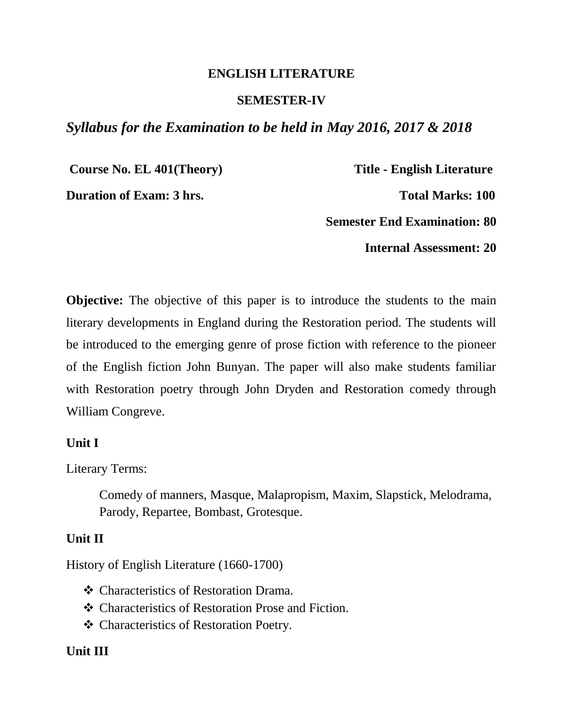#### **ENGLISH LITERATURE**

#### **SEMESTER-IV**

### *Syllabus for the Examination to be held in May 2016, 2017 & 2018*

**Course No. EL 401(Theory) Title - English Literature** 

**Duration of Exam: 3 hrs.** Total Marks: 100

**Semester End Examination: 80**

**Internal Assessment: 20**

**Objective:** The objective of this paper is to introduce the students to the main literary developments in England during the Restoration period. The students will be introduced to the emerging genre of prose fiction with reference to the pioneer of the English fiction John Bunyan. The paper will also make students familiar with Restoration poetry through John Dryden and Restoration comedy through William Congreve.

#### **Unit I**

Literary Terms:

Comedy of manners, Masque, Malapropism, Maxim, Slapstick, Melodrama, Parody, Repartee, Bombast, Grotesque.

#### **Unit II**

History of English Literature (1660-1700)

- Characteristics of Restoration Drama.
- Characteristics of Restoration Prose and Fiction.
- Characteristics of Restoration Poetry.

### **Unit III**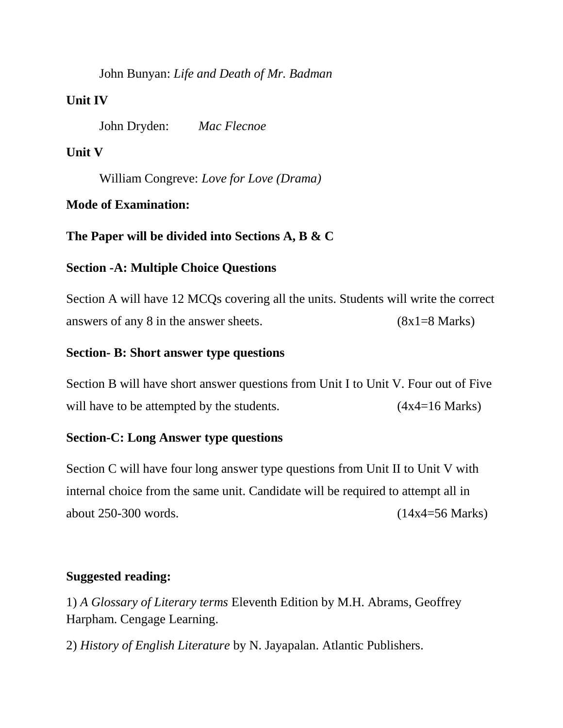John Bunyan: *Life and Death of Mr. Badman*

### **Unit IV**

John Dryden: *Mac Flecnoe* 

### **Unit V**

William Congreve: *Love for Love (Drama)*

### **Mode of Examination:**

#### **The Paper will be divided into Sections A, B & C**

#### **Section -A: Multiple Choice Questions**

Section A will have 12 MCQs covering all the units. Students will write the correct answers of any 8 in the answer sheets.  $(8x1=8 \text{ Marks})$ 

#### **Section- B: Short answer type questions**

Section B will have short answer questions from Unit I to Unit V. Four out of Five will have to be attempted by the students.  $(4x4=16 \text{ Marks})$ 

#### **Section-C: Long Answer type questions**

Section C will have four long answer type questions from Unit II to Unit V with internal choice from the same unit. Candidate will be required to attempt all in about 250-300 words. (14x4=56 Marks)

### **Suggested reading:**

1) *A Glossary of Literary terms* Eleventh Edition by M.H. Abrams, Geoffrey Harpham. Cengage Learning.

2) *History of English Literature* by N. Jayapalan. Atlantic Publishers.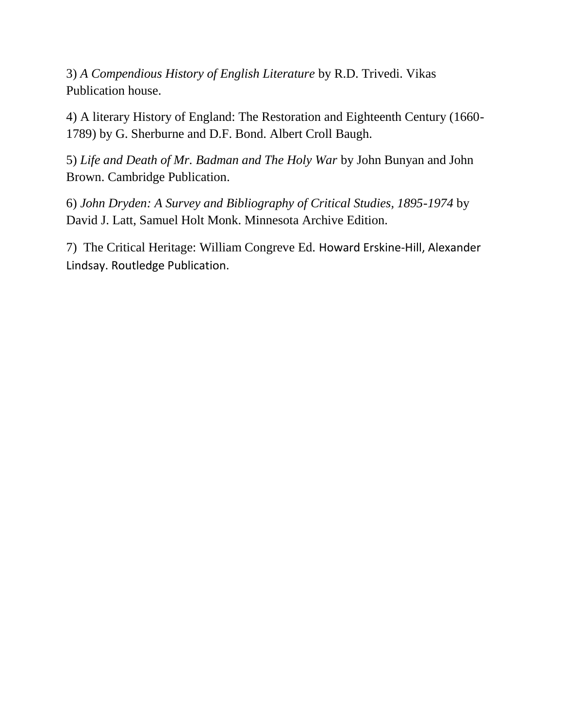3) *A Compendious History of English Literature* by R.D. Trivedi. Vikas Publication house.

4) A literary History of England: The Restoration and Eighteenth Century (1660- 1789) by G. Sherburne and D.F. Bond. Albert Croll Baugh.

5) *Life and Death of Mr. Badman and The Holy War* by John Bunyan and John Brown. Cambridge Publication.

6) *John Dryden: A Survey and Bibliography of Critical Studies, 1895-1974* by David J. Latt, Samuel Holt Monk. Minnesota Archive Edition.

7) The Critical Heritage: William Congreve Ed. Howard Erskine-Hill, Alexander Lindsay. Routledge Publication.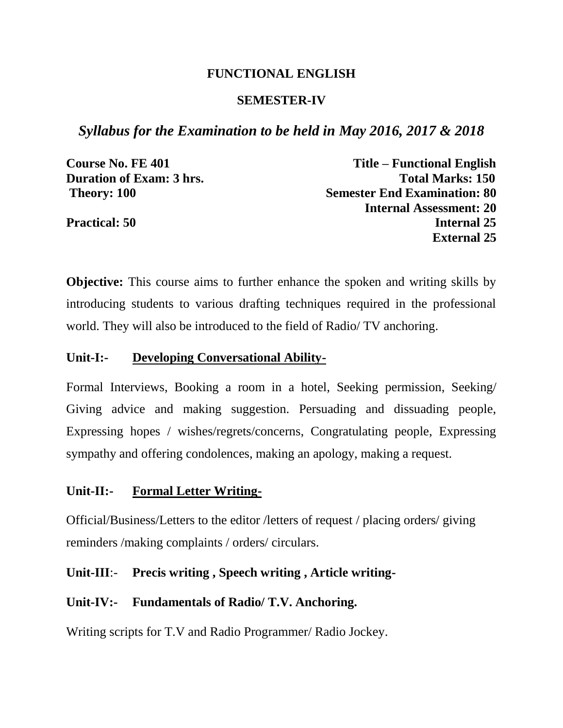#### **FUNCTIONAL ENGLISH**

#### **SEMESTER-IV**

*Syllabus for the Examination to be held in May 2016, 2017 & 2018*

**Course No. FE 401 Title – Functional English Duration of Exam: 3 hrs.** Total Marks: 150 **Theory: 100** Semester End Examination: 80 **Internal Assessment: 20 Practical: 50** Internal 25 **External 25**

**Objective:** This course aims to further enhance the spoken and writing skills by introducing students to various drafting techniques required in the professional world. They will also be introduced to the field of Radio/ TV anchoring.

#### **Unit-I:- Developing Conversational Ability-**

Formal Interviews, Booking a room in a hotel, Seeking permission, Seeking/ Giving advice and making suggestion. Persuading and dissuading people, Expressing hopes / wishes/regrets/concerns, Congratulating people, Expressing sympathy and offering condolences, making an apology, making a request.

#### **Unit-II:- Formal Letter Writing-**

Official/Business/Letters to the editor /letters of request / placing orders/ giving reminders /making complaints / orders/ circulars.

### **Unit-III**:- **Precis writing , Speech writing , Article writing-**

#### **Unit-IV:- Fundamentals of Radio/ T.V. Anchoring.**

Writing scripts for T.V and Radio Programmer/ Radio Jockey.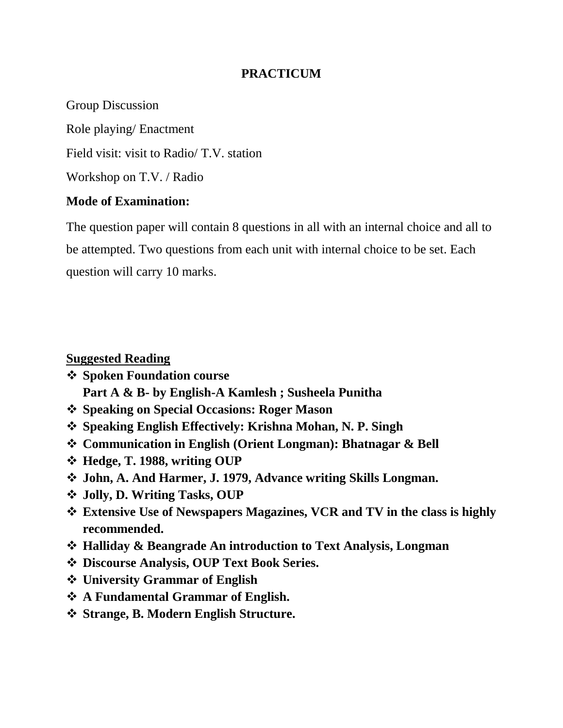### **PRACTICUM**

Group Discussion Role playing/ Enactment Field visit: visit to Radio/ T.V. station Workshop on T.V. / Radio

### **Mode of Examination:**

The question paper will contain 8 questions in all with an internal choice and all to be attempted. Two questions from each unit with internal choice to be set. Each question will carry 10 marks.

#### **Suggested Reading**

- **Spoken Foundation course** 
	- **Part A & B- by English-A Kamlesh ; Susheela Punitha**
- **Speaking on Special Occasions: Roger Mason**
- **Speaking English Effectively: Krishna Mohan, N. P. Singh**
- **Communication in English (Orient Longman): Bhatnagar & Bell**
- **Hedge, T. 1988, writing OUP**
- **John, A. And Harmer, J. 1979, Advance writing Skills Longman.**
- **Jolly, D. Writing Tasks, OUP**
- **Extensive Use of Newspapers Magazines, VCR and TV in the class is highly recommended.**
- **Halliday & Beangrade An introduction to Text Analysis, Longman**
- **Discourse Analysis, OUP Text Book Series.**
- **University Grammar of English**
- **A Fundamental Grammar of English.**
- **Strange, B. Modern English Structure.**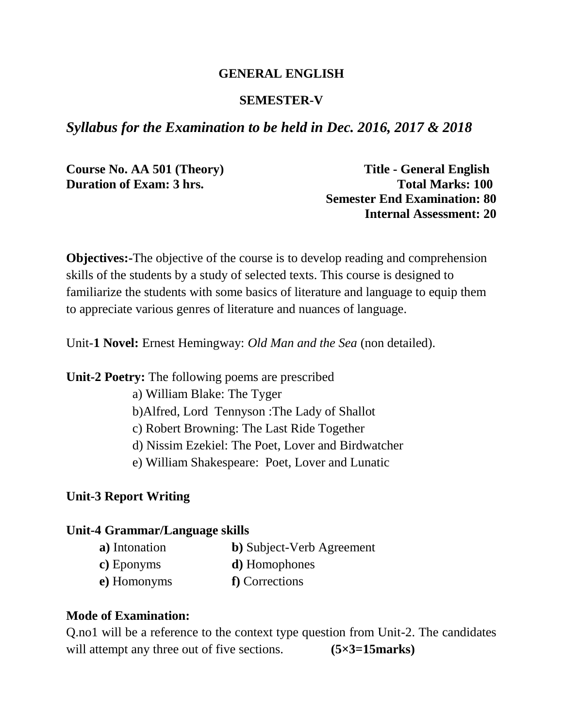### **GENERAL ENGLISH**

### **SEMESTER-V**

# *Syllabus for the Examination to be held in Dec. 2016, 2017 & 2018*

**Course No. AA 501 (Theory) Title - General English** 

**Duration of Exam: 3 hrs. Total Marks: 100 Semester End Examination: 80 Internal Assessment: 20**

**Objectives:**-The objective of the course is to develop reading and comprehension skills of the students by a study of selected texts. This course is designed to familiarize the students with some basics of literature and language to equip them to appreciate various genres of literature and nuances of language.

Unit-**1 Novel:** Ernest Hemingway: *Old Man and the Sea* (non detailed).

**Unit-2 Poetry:** The following poems are prescribed

- a) William Blake: The Tyger
- b)Alfred, Lord Tennyson :The Lady of Shallot
- c) Robert Browning: The Last Ride Together
- d) Nissim Ezekiel: The Poet, Lover and Birdwatcher
- e) William Shakespeare: Poet, Lover and Lunatic

### **Unit-3 Report Writing**

#### **Unit-4 Grammar/Language skills**

- **a)** Intonation **b)** Subject-Verb Agreement
- **c)** Eponyms **d)** Homophones
- **e)** Homonyms **f)** Corrections

### **Mode of Examination:**

Q.no1 will be a reference to the context type question from Unit-2. The candidates will attempt any three out of five sections. **(5×3=15marks)**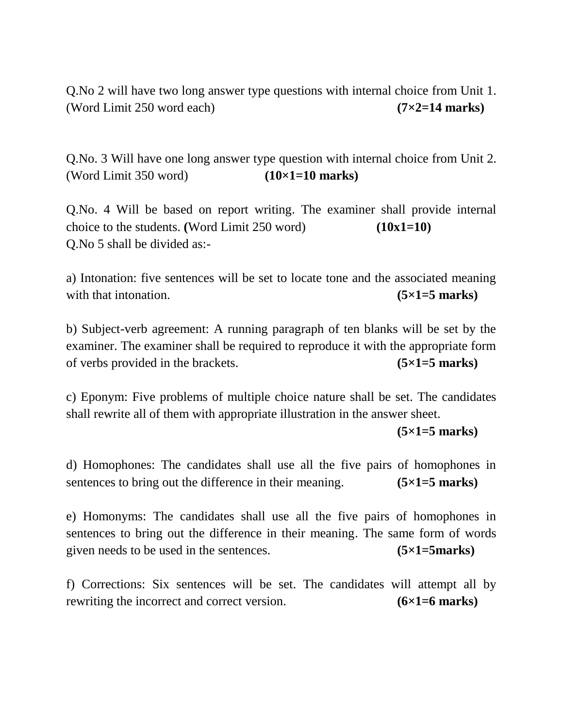Q.No 2 will have two long answer type questions with internal choice from Unit 1. (Word Limit 250 word each) **(7×2=14 marks)**

Q.No. 3 Will have one long answer type question with internal choice from Unit 2. (Word Limit 350 word) **(10×1=10 marks)**

Q.No. 4 Will be based on report writing. The examiner shall provide internal choice to the students. **(**Word Limit 250 word) **(10x1=10)** Q.No 5 shall be divided as:-

a) Intonation: five sentences will be set to locate tone and the associated meaning with that intonation. **(5×1=5 marks)** 

b) Subject-verb agreement: A running paragraph of ten blanks will be set by the examiner. The examiner shall be required to reproduce it with the appropriate form of verbs provided in the brackets. **(5×1=5 marks)**

c) Eponym: Five problems of multiple choice nature shall be set. The candidates shall rewrite all of them with appropriate illustration in the answer sheet.

**(5×1=5 marks)**

d) Homophones: The candidates shall use all the five pairs of homophones in sentences to bring out the difference in their meaning. **(5×1=5 marks)**

e) Homonyms: The candidates shall use all the five pairs of homophones in sentences to bring out the difference in their meaning. The same form of words given needs to be used in the sentences. **(5×1=5marks)**

f) Corrections: Six sentences will be set. The candidates will attempt all by rewriting the incorrect and correct version. **(6×1=6 marks)**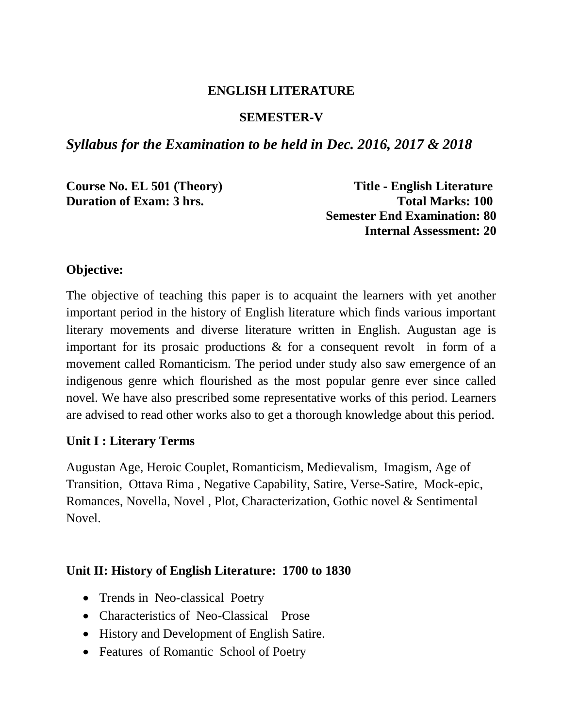### **ENGLISH LITERATURE**

### **SEMESTER-V**

# *Syllabus for the Examination to be held in Dec. 2016, 2017 & 2018*

**Course No. EL 501 (Theory) Title - English Literature Duration of Exam: 3 hrs. Total Marks: 100 Semester End Examination: 80 Internal Assessment: 20**

### **Objective:**

The objective of teaching this paper is to acquaint the learners with yet another important period in the history of English literature which finds various important literary movements and diverse literature written in English. Augustan age is important for its prosaic productions & for a consequent revolt in form of a movement called Romanticism. The period under study also saw emergence of an indigenous genre which flourished as the most popular genre ever since called novel. We have also prescribed some representative works of this period. Learners are advised to read other works also to get a thorough knowledge about this period.

### **Unit I : Literary Terms**

Augustan Age, Heroic Couplet, Romanticism, Medievalism, Imagism, Age of Transition, Ottava Rima , Negative Capability, Satire, Verse-Satire, Mock-epic, Romances, Novella, Novel , Plot, Characterization, Gothic novel & Sentimental Novel.

### **Unit II: History of English Literature: 1700 to 1830**

- Trends in Neo-classical Poetry
- Characteristics of Neo-Classical Prose
- History and Development of English Satire.
- Features of Romantic School of Poetry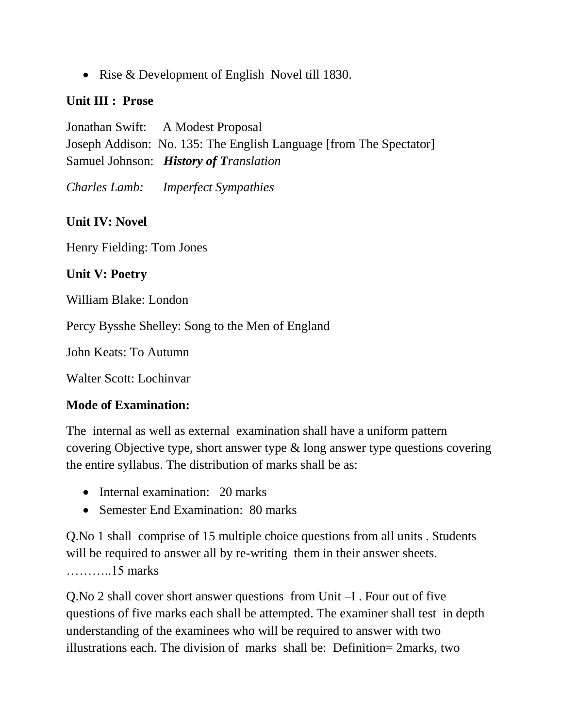• Rise & Development of English Novel till 1830.

### **Unit III : Prose**

Jonathan Swift: A Modest Proposal Joseph Addison: No. 135: The English Language [from The Spectator] Samuel Johnson: *History of Translation*

*Charles Lamb: Imperfect Sympathies*

# **Unit IV: Novel**

Henry Fielding: Tom Jones

# **Unit V: Poetry**

William Blake: London

Percy Bysshe Shelley: Song to the Men of England

John Keats: To Autumn

Walter Scott: Lochinvar

# **Mode of Examination:**

The internal as well as external examination shall have a uniform pattern covering Objective type, short answer type & long answer type questions covering the entire syllabus. The distribution of marks shall be as:

- Internal examination: 20 marks
- Semester End Examination: 80 marks

Q.No 1 shall comprise of 15 multiple choice questions from all units . Students will be required to answer all by re-writing them in their answer sheets. ………..15 marks

Q.No 2 shall cover short answer questions from Unit –I . Four out of five questions of five marks each shall be attempted. The examiner shall test in depth understanding of the examinees who will be required to answer with two illustrations each. The division of marks shall be: Definition= 2marks, two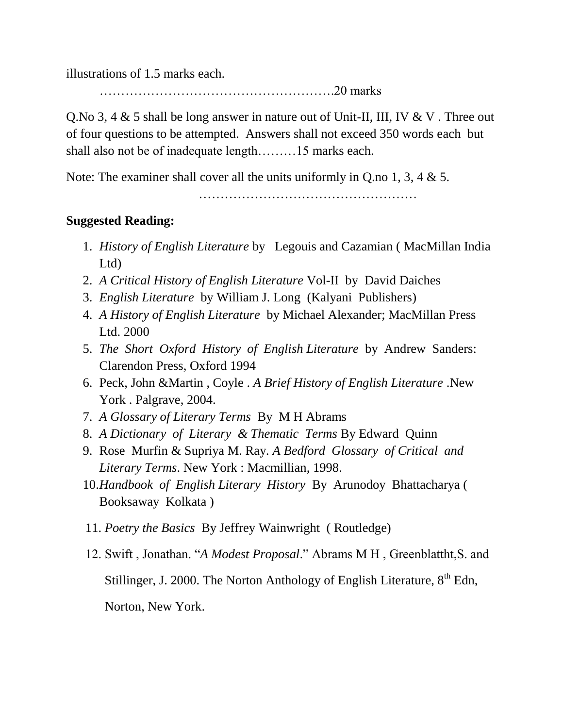illustrations of 1.5 marks each.

……………………………………………….20 marks

Q.No 3, 4 & 5 shall be long answer in nature out of Unit-II, III, IV & V . Three out of four questions to be attempted. Answers shall not exceed 350 words each but shall also not be of inadequate length………15 marks each.

Note: The examiner shall cover all the units uniformly in Q.no 1, 3, 4 & 5.

……………………………………………

# **Suggested Reading:**

- 1. *History of English Literature* by Legouis and Cazamian ( MacMillan India Ltd)
- 2. *A Critical History of English Literature* Vol-II by David Daiches
- 3. *English Literature* by William J. Long (Kalyani Publishers)
- 4. *A History of English Literature* by Michael Alexander; MacMillan Press Ltd. 2000
- 5. *The Short Oxford History of English Literature* by Andrew Sanders: Clarendon Press, Oxford 1994
- 6. Peck, John &Martin , Coyle . *A Brief History of English Literature* .New York . Palgrave, 2004.
- 7. *A Glossary of Literary Terms* By M H Abrams
- 8. *A Dictionary of Literary & Thematic Terms* By Edward Quinn
- 9. Rose Murfin & Supriya M. Ray*. A Bedford Glossary of Critical and Literary Terms*. New York : Macmillian, 1998.
- 10.*Handbook of English Literary History* By Arunodoy Bhattacharya ( Booksaway Kolkata )
- 11. *Poetry the Basics* By Jeffrey Wainwright ( Routledge)
- 12. Swift , Jonathan. "*A Modest Proposal*." Abrams M H , Greenblattht,S. and Stillinger, J. 2000. The Norton Anthology of English Literature,  $8<sup>th</sup>$  Edn, Norton, New York.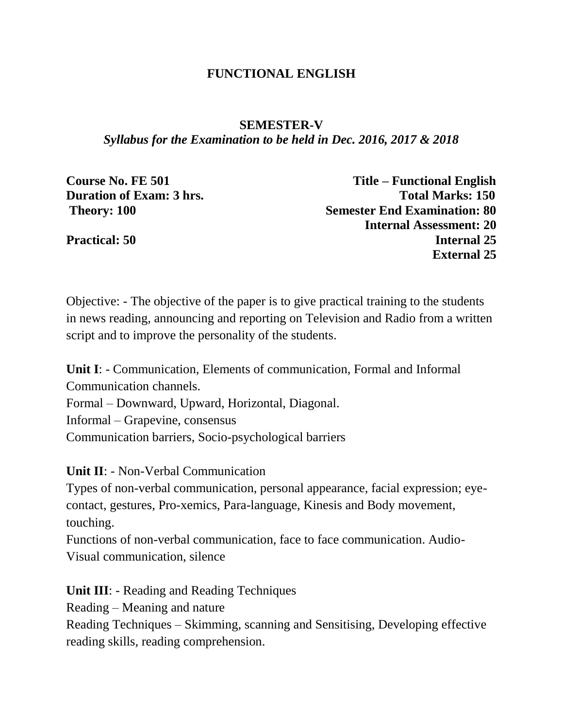### **FUNCTIONAL ENGLISH**

#### **SEMESTER-V**

*Syllabus for the Examination to be held in Dec. 2016, 2017 & 2018*

| Course No. FE 501               | Title – Functional English          |
|---------------------------------|-------------------------------------|
| <b>Duration of Exam: 3 hrs.</b> | <b>Total Marks: 150</b>             |
| <b>Theory: 100</b>              | <b>Semester End Examination: 80</b> |
|                                 | <b>Internal Assessment: 20</b>      |
| <b>Practical: 50</b>            | <b>Internal 25</b>                  |
|                                 | <b>External 25</b>                  |

Objective: - The objective of the paper is to give practical training to the students in news reading, announcing and reporting on Television and Radio from a written script and to improve the personality of the students.

**Unit I**: - Communication, Elements of communication, Formal and Informal Communication channels.

Formal – Downward, Upward, Horizontal, Diagonal.

Informal – Grapevine, consensus

Communication barriers, Socio-psychological barriers

**Unit II**: - Non-Verbal Communication

Types of non-verbal communication, personal appearance, facial expression; eyecontact, gestures, Pro-xemics, Para-language, Kinesis and Body movement, touching.

Functions of non-verbal communication, face to face communication. Audio-Visual communication, silence

**Unit III**: - Reading and Reading Techniques

Reading – Meaning and nature

Reading Techniques – Skimming, scanning and Sensitising, Developing effective reading skills, reading comprehension.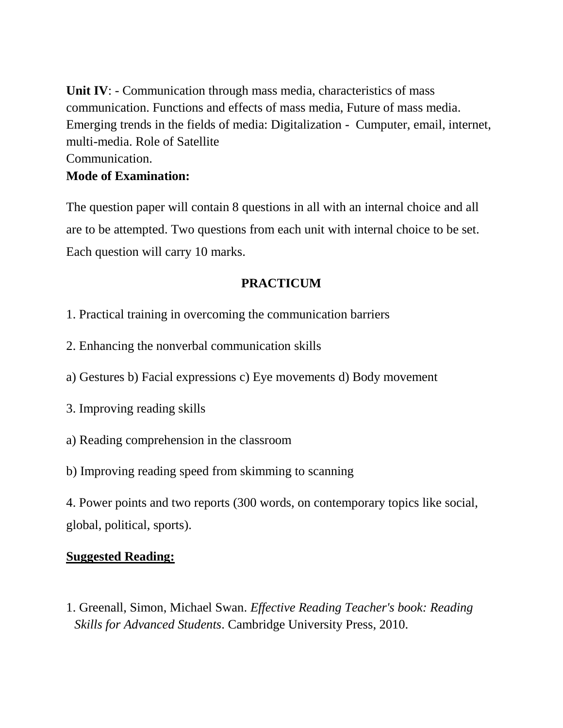**Unit IV:** - Communication through mass media, characteristics of mass communication. Functions and effects of mass media, Future of mass media. Emerging trends in the fields of media: Digitalization - Cumputer, email, internet, multi-media. Role of Satellite Communication. **Mode of Examination:**

The question paper will contain 8 questions in all with an internal choice and all are to be attempted. Two questions from each unit with internal choice to be set. Each question will carry 10 marks.

# **PRACTICUM**

- 1. Practical training in overcoming the communication barriers
- 2. Enhancing the nonverbal communication skills
- a) Gestures b) Facial expressions c) Eye movements d) Body movement
- 3. Improving reading skills
- a) Reading comprehension in the classroom
- b) Improving reading speed from skimming to scanning

4. Power points and two reports (300 words, on contemporary topics like social, global, political, sports).

### **Suggested Reading:**

1. Greenall, Simon, Michael Swan. *Effective Reading Teacher's book: Reading Skills for Advanced Students*. Cambridge University Press, 2010.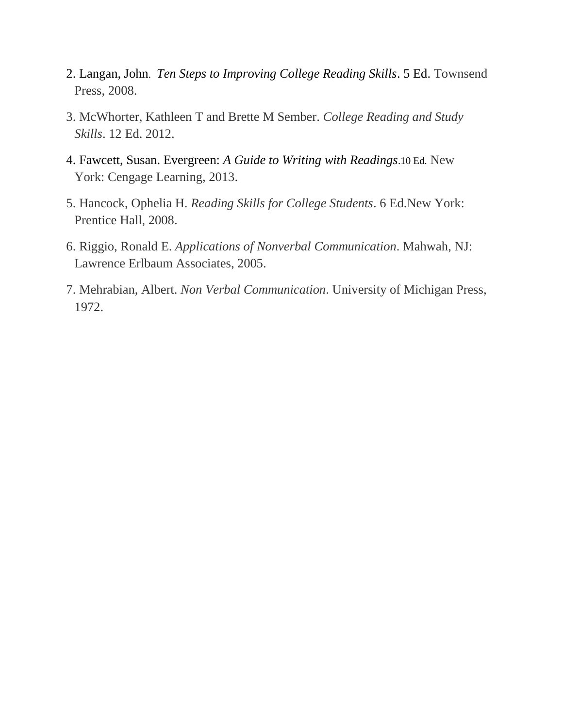- 2. Langan, John. *Ten Steps to Improving College Reading Skills*. 5 Ed. Townsend Press, 2008.
- 3. McWhorter, Kathleen T and Brette M Sember. *College Reading and Study Skills*. 12 Ed. 2012.
- 4. Fawcett, Susan. Evergreen: *A Guide to Writing with Readings*.10 Ed. New York: Cengage Learning, 2013.
- 5. Hancock, Ophelia H. *Reading Skills for College Students*. 6 Ed.New York: Prentice Hall, 2008.
- 6. Riggio, Ronald E. *Applications of Nonverbal Communication*. Mahwah, NJ: Lawrence Erlbaum Associates, 2005.
- 7. Mehrabian, Albert. *Non Verbal Communication*. University of Michigan Press, 1972.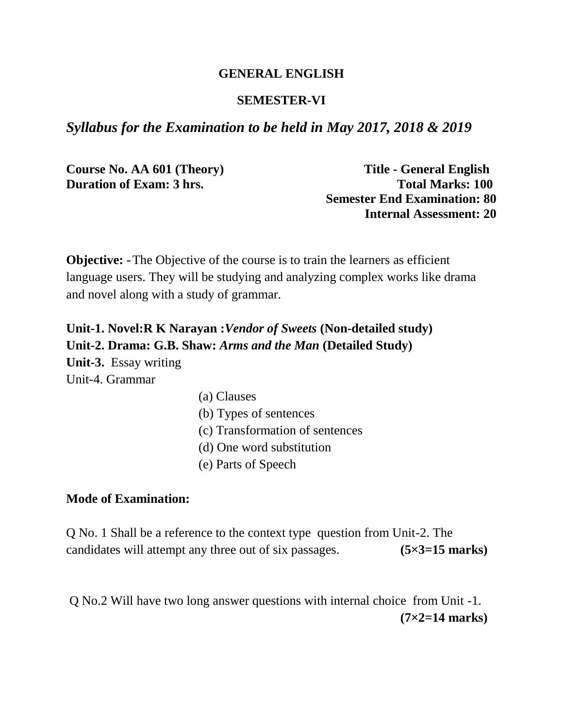#### **GENERAL ENGLISH**

#### **SEMESTER-VI**

### *Syllabus for the Examination to be held in May 2017, 2018 & 2019*

**Course No. AA 601 (Theory) Title - General English** 

**Duration of Exam: 3 hrs. Total Marks: 100 Semester End Examination: 80 Internal Assessment: 20**

**Objective:** - The Objective of the course is to train the learners as efficient language users. They will be studying and analyzing complex works like drama and novel along with a study of grammar.

**Unit-1. Novel:R K Narayan :***Vendor of Sweets* **(Non-detailed study) Unit-2. Drama: G.B. Shaw:** *Arms and the Man* **(Detailed Study) Unit-3.** Essay writing Unit-4. Grammar

- (a) Clauses
- (b) Types of sentences
- (c) Transformation of sentences
- (d) One word substitution
- (e) Parts of Speech

#### **Mode of Examination:**

Q No. 1 Shall be a reference to the context type question from Unit-2. The candidates will attempt any three out of six passages. **(5×3=15 marks)**

Q No.2 Will have two long answer questions with internal choice from Unit -1. **(7×2=14 marks)**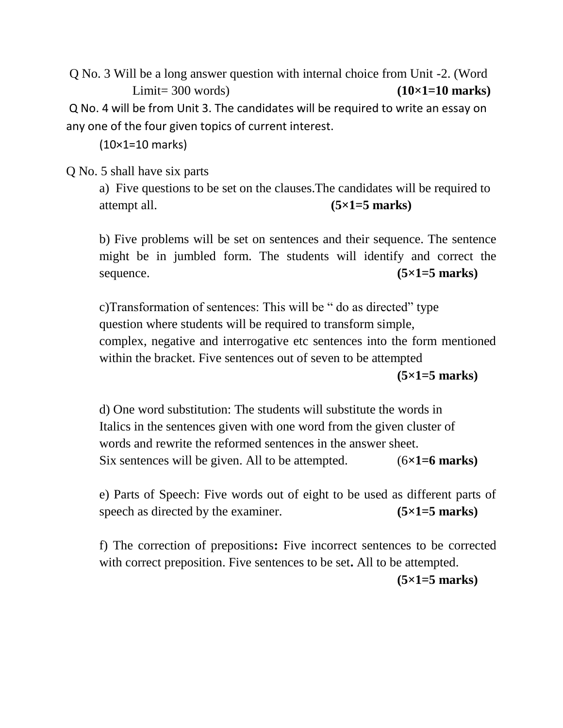Q No. 3 Will be a long answer question with internal choice from Unit -2. (Word Limit= 300 words) **(10×1=10 marks)** Q No. 4 will be from Unit 3. The candidates will be required to write an essay on any one of the four given topics of current interest.

(10×1=10 marks)

Q No. 5 shall have six parts

a) Five questions to be set on the clauses.The candidates will be required to attempt all. **(5×1=5 marks)**

b) Five problems will be set on sentences and their sequence. The sentence might be in jumbled form. The students will identify and correct the sequence. **(5×1=5 marks)** 

c)Transformation of sentences: This will be " do as directed" type question where students will be required to transform simple, complex, negative and interrogative etc sentences into the form mentioned within the bracket. Five sentences out of seven to be attempted

**(5×1=5 marks)**

d) One word substitution: The students will substitute the words in Italics in the sentences given with one word from the given cluster of words and rewrite the reformed sentences in the answer sheet. Six sentences will be given. All to be attempted. (6**×1=6 marks)**

e) Parts of Speech: Five words out of eight to be used as different parts of speech as directed by the examiner. **(5×1=5 marks)** 

f) The correction of prepositions**:** Five incorrect sentences to be corrected with correct preposition. Five sentences to be set**.** All to be attempted. **(5×1=5 marks)**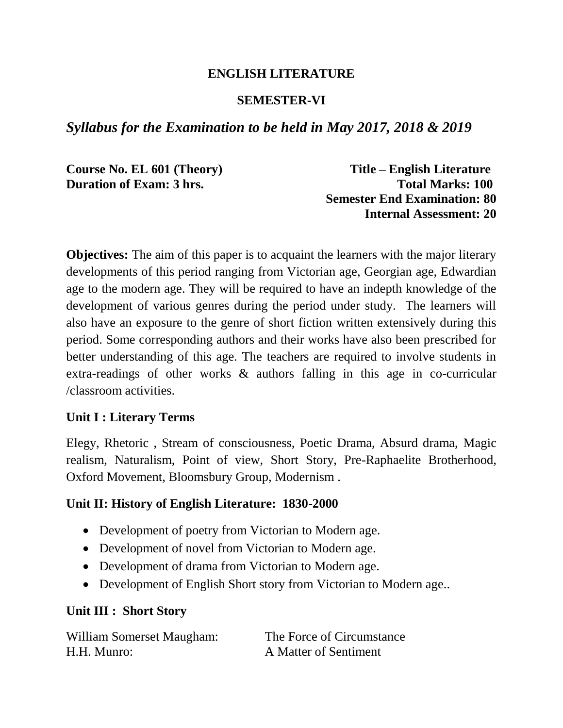### **ENGLISH LITERATURE**

### **SEMESTER-VI**

# *Syllabus for the Examination to be held in May 2017, 2018 & 2019*

**Course No. EL 601 (Theory) Title – English Literature Duration of Exam: 3 hrs. Total Marks: 100 Semester End Examination: 80 Internal Assessment: 20**

**Objectives:** The aim of this paper is to acquaint the learners with the major literary developments of this period ranging from Victorian age, Georgian age, Edwardian age to the modern age. They will be required to have an indepth knowledge of the development of various genres during the period under study. The learners will also have an exposure to the genre of short fiction written extensively during this period. Some corresponding authors and their works have also been prescribed for better understanding of this age. The teachers are required to involve students in extra-readings of other works & authors falling in this age in co-curricular /classroom activities.

#### **Unit I : Literary Terms**

Elegy, Rhetoric , Stream of consciousness, Poetic Drama, Absurd drama, Magic realism, Naturalism, Point of view, Short Story, Pre-Raphaelite Brotherhood, Oxford Movement, Bloomsbury Group, Modernism .

### **Unit II: History of English Literature: 1830-2000**

- Development of poetry from Victorian to Modern age.
- Development of novel from Victorian to Modern age.
- Development of drama from Victorian to Modern age.
- Development of English Short story from Victorian to Modern age..

### **Unit III : Short Story**

| William Somerset Maugham: | The Force of Circumstance |
|---------------------------|---------------------------|
| H.H. Munro:               | A Matter of Sentiment     |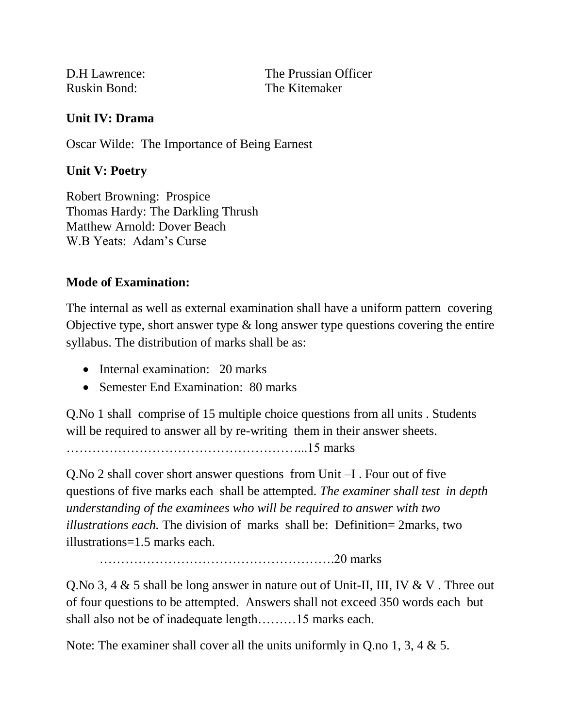Ruskin Bond: The Kitemaker

D.H Lawrence: The Prussian Officer

### **Unit IV: Drama**

Oscar Wilde: The Importance of Being Earnest

### **Unit V: Poetry**

Robert Browning: Prospice Thomas Hardy: The Darkling Thrush Matthew Arnold: Dover Beach W.B Yeats: Adam's Curse

# **Mode of Examination:**

The internal as well as external examination shall have a uniform pattern covering Objective type, short answer type  $\&$  long answer type questions covering the entire syllabus. The distribution of marks shall be as:

- Internal examination: 20 marks
- Semester End Examination: 80 marks

Q.No 1 shall comprise of 15 multiple choice questions from all units . Students will be required to answer all by re-writing them in their answer sheets.

………………………………………………...15 marks

Q.No 2 shall cover short answer questions from Unit –I . Four out of five questions of five marks each shall be attempted. *The examiner shall test in depth understanding of the examinees who will be required to answer with two illustrations each.* The division of marks shall be: Definition= 2marks, two illustrations=1.5 marks each.

……………………………………………….20 marks

Q.No 3, 4 & 5 shall be long answer in nature out of Unit-II, III, IV & V . Three out of four questions to be attempted. Answers shall not exceed 350 words each but shall also not be of inadequate length………15 marks each.

Note: The examiner shall cover all the units uniformly in Q.no 1, 3, 4 & 5.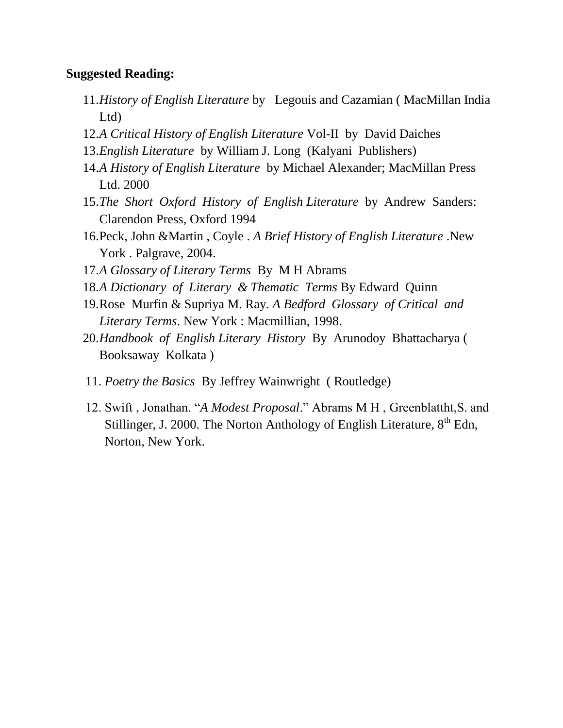#### **Suggested Reading:**

- 11.*History of English Literature* by Legouis and Cazamian ( MacMillan India Ltd)
- 12.*A Critical History of English Literature* Vol-II by David Daiches
- 13.*English Literature* by William J. Long (Kalyani Publishers)
- 14.*A History of English Literature* by Michael Alexander; MacMillan Press Ltd. 2000
- 15.*The Short Oxford History of English Literature* by Andrew Sanders: Clarendon Press, Oxford 1994
- 16.Peck, John &Martin , Coyle . *A Brief History of English Literature* .New York . Palgrave, 2004.
- 17.*A Glossary of Literary Terms* By M H Abrams
- 18.*A Dictionary of Literary & Thematic Terms* By Edward Quinn
- 19.Rose Murfin & Supriya M. Ray*. A Bedford Glossary of Critical and Literary Terms*. New York : Macmillian, 1998.
- 20.*Handbook of English Literary History* By Arunodoy Bhattacharya ( Booksaway Kolkata )
- 11. *Poetry the Basics* By Jeffrey Wainwright ( Routledge)
- 12. Swift , Jonathan. "*A Modest Proposal*." Abrams M H , Greenblattht,S. and Stillinger, J. 2000. The Norton Anthology of English Literature,  $8<sup>th</sup>$  Edn, Norton, New York.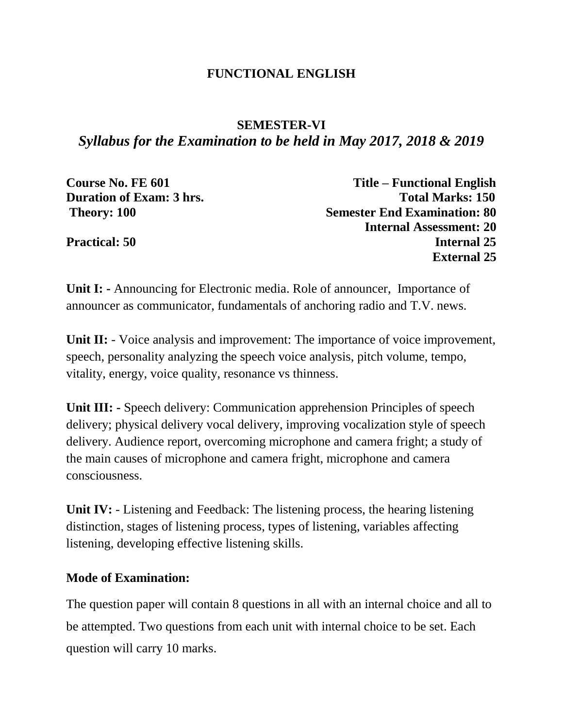### **FUNCTIONAL ENGLISH**

# **SEMESTER-VI** *Syllabus for the Examination to be held in May 2017, 2018 & 2019*

| Course No. FE 601               | <b>Title – Functional English</b>   |
|---------------------------------|-------------------------------------|
| <b>Duration of Exam: 3 hrs.</b> | <b>Total Marks: 150</b>             |
| Theory: 100                     | <b>Semester End Examination: 80</b> |
|                                 | <b>Internal Assessment: 20</b>      |
| <b>Practical: 50</b>            | <b>Internal 25</b>                  |
|                                 | <b>External 25</b>                  |

**Unit I: -** Announcing for Electronic media. Role of announcer, Importance of announcer as communicator, fundamentals of anchoring radio and T.V. news.

**Unit II:** - Voice analysis and improvement: The importance of voice improvement, speech, personality analyzing the speech voice analysis, pitch volume, tempo, vitality, energy, voice quality, resonance vs thinness.

**Unit III:** - Speech delivery: Communication apprehension Principles of speech delivery; physical delivery vocal delivery, improving vocalization style of speech delivery. Audience report, overcoming microphone and camera fright; a study of the main causes of microphone and camera fright, microphone and camera consciousness.

**Unit IV:** - Listening and Feedback: The listening process, the hearing listening distinction, stages of listening process, types of listening, variables affecting listening, developing effective listening skills.

### **Mode of Examination:**

The question paper will contain 8 questions in all with an internal choice and all to be attempted. Two questions from each unit with internal choice to be set. Each question will carry 10 marks.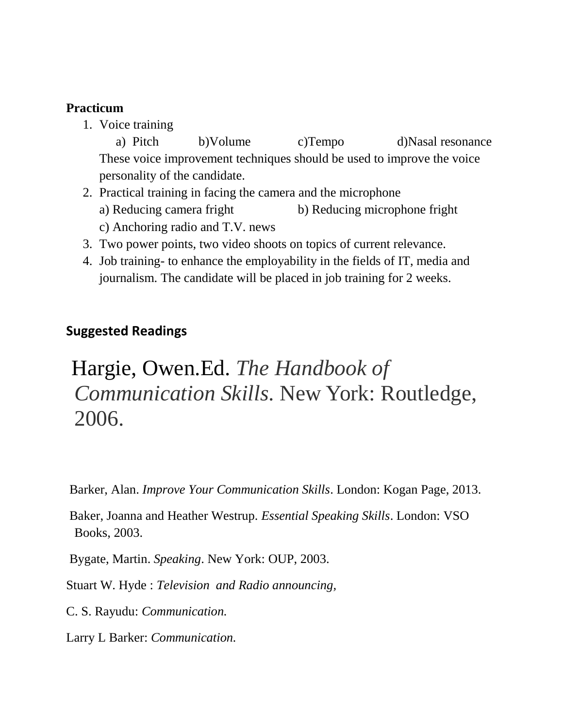### **Practicum**

1. Voice training

a) Pitch b)Volume c)Tempo d)Nasal resonance These voice improvement techniques should be used to improve the voice personality of the candidate.

- 2. Practical training in facing the camera and the microphone a) Reducing camera fright b) Reducing microphone fright c) Anchoring radio and T.V. news
- 3. Two power points, two video shoots on topics of current relevance.
- 4. Job training- to enhance the employability in the fields of IT, media and journalism. The candidate will be placed in job training for 2 weeks.

# **Suggested Readings**

# Hargie, Owen.Ed. *The Handbook of Communication Skills*. New York: Routledge, 2006.

Barker, Alan. *Improve Your Communication Skills*. London: Kogan Page, 2013.

Baker, Joanna and Heather Westrup. *Essential Speaking Skills*. London: VSO Books, 2003.

Bygate, Martin. *Speaking*. New York: OUP, 2003.

Stuart W. Hyde : *Television and Radio announcing,*

C. S. Rayudu: *Communication.*

Larry L Barker: *Communication.*